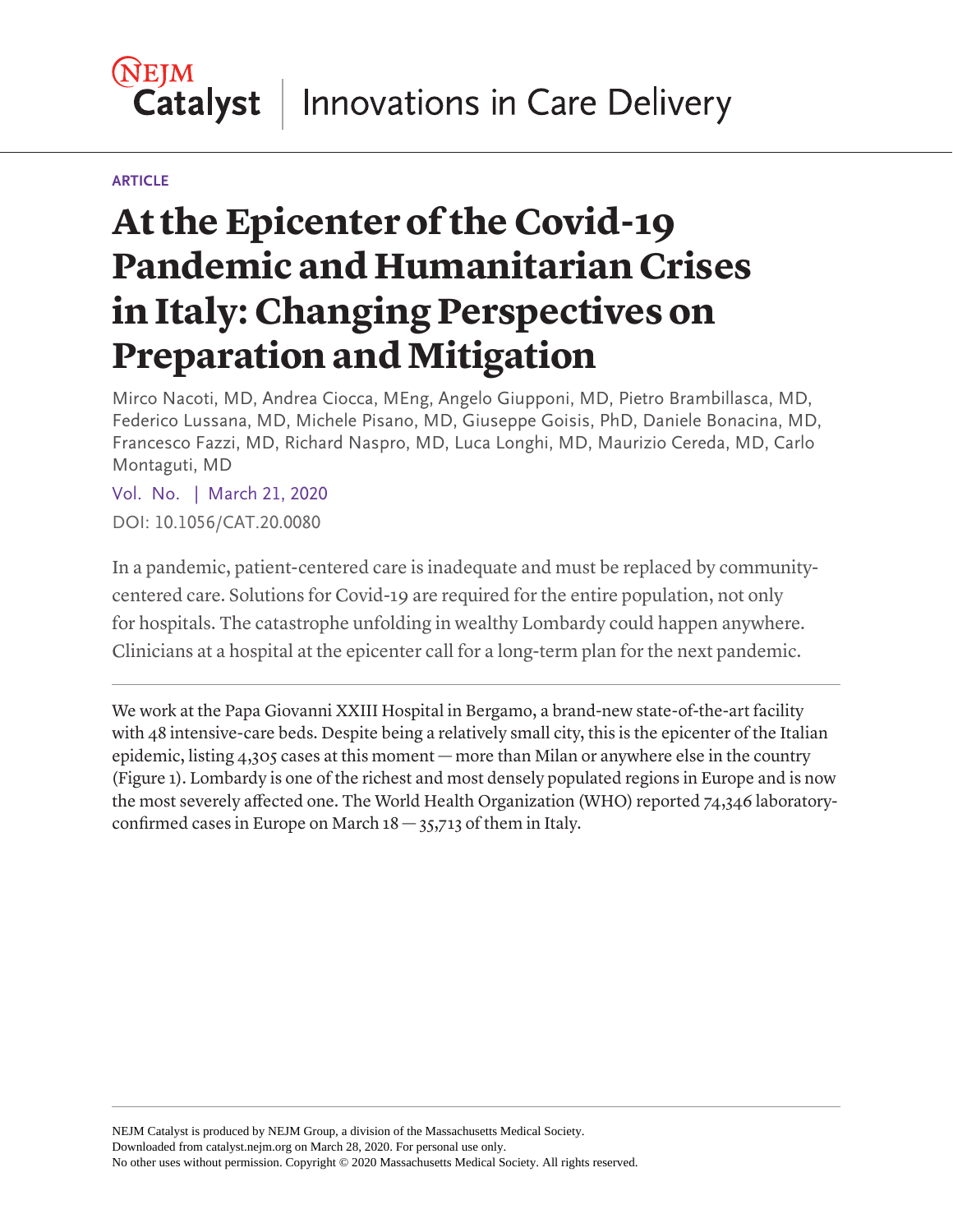### **NEIM** Innovations in Care Delivery **Catalyst**

#### **ARTICLE**

# **At the Epicenter of the Covid-19 Pandemic and Humanitarian Crises in Italy: Changing Perspectives on Preparation and Mitigation**

Mirco Nacoti, MD, Andrea Ciocca, MEng, Angelo Giupponi, MD, Pietro Brambillasca, MD, Federico Lussana, MD, Michele Pisano, MD, Giuseppe Goisis, PhD, Daniele Bonacina, MD, Francesco Fazzi, MD, Richard Naspro, MD, Luca Longhi, MD, Maurizio Cereda, MD, Carlo Montaguti, MD

Vol. No. | March 21, 2020 DOI: 10.1056/CAT.20.0080

In a pandemic, patient-centered care is inadequate and must be replaced by communitycentered care. Solutions for Covid-19 are required for the entire population, not only for hospitals. The catastrophe unfolding in wealthy Lombardy could happen anywhere. Clinicians at a hospital at the epicenter call for a long-term plan for the next pandemic.

We work at the Papa Giovanni XXIII Hospital in Bergamo, a brand-new state-of-the-art facility with 48 intensive-care beds. Despite being a relatively small city, this is the epicenter of the Italian epidemic, listing 4,305 cases at this moment — more than Milan or anywhere else in the country (Figure 1). Lombardy is one of the richest and most densely populated regions in Europe and is now the most severely affected one. The World Health Organization (WHO) reported 74,346 laboratoryconfirmed cases in Europe on March  $18 - 35,713$  of them in Italy.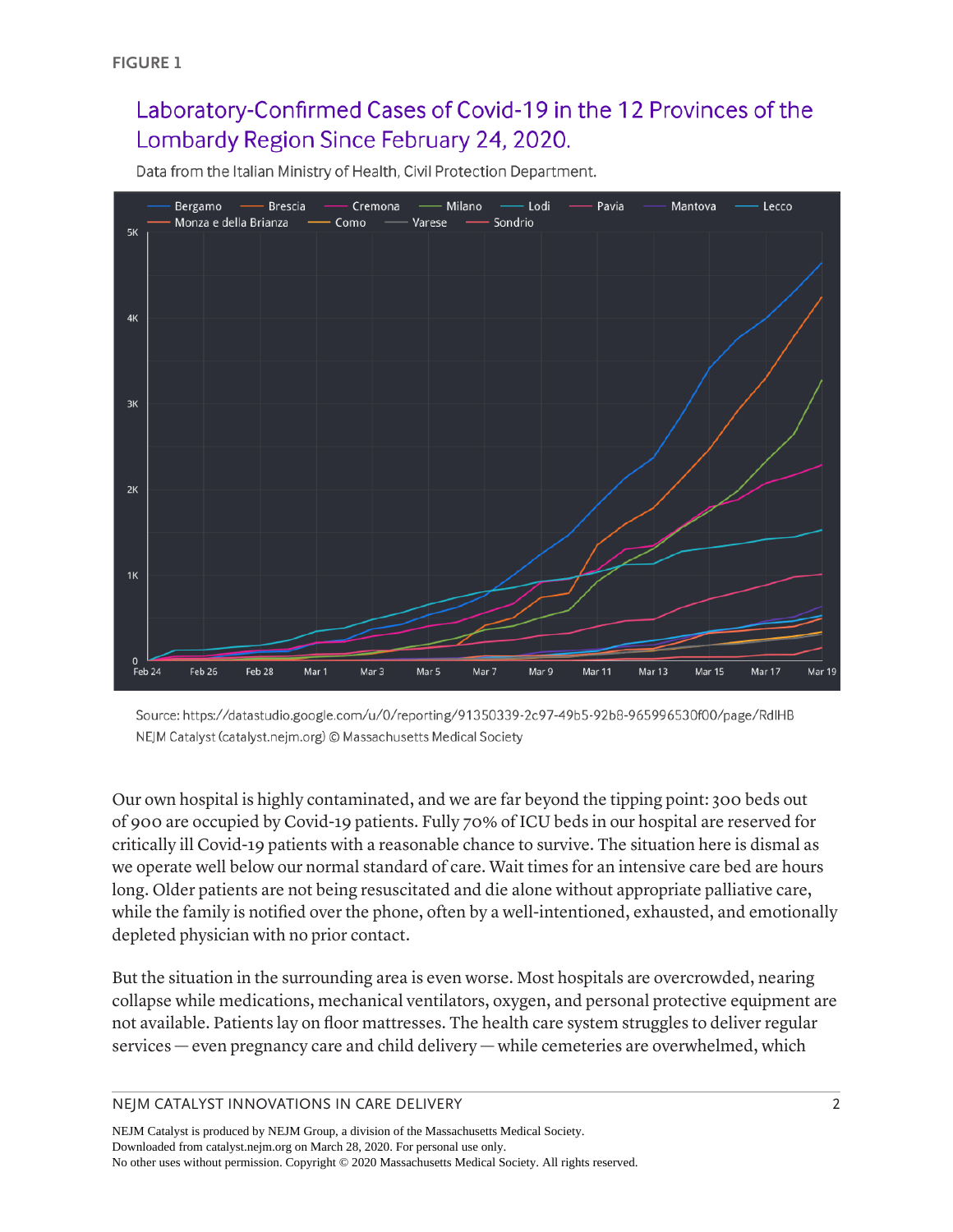# Laboratory-Confirmed Cases of Covid-19 in the 12 Provinces of the Lombardy Region Since February 24, 2020.

Data from the Italian Ministry of Health, Civil Protection Department.



Source: https://datastudio.google.com/u/0/reporting/91350339-2c97-49b5-92b8-965996530f00/page/RdlHB NEJM Catalyst (catalyst.nejm.org) @ Massachusetts Medical Society

Our own hospital is highly contaminated, and we are far beyond the tipping point: 300 beds out of 900 are occupied by Covid-19 patients. Fully 70% of ICU beds in our hospital are reserved for critically ill Covid-19 patients with a reasonable chance to survive. The situation here is dismal as we operate well below our normal standard of care. Wait times for an intensive care bed are hours long. Older patients are not being resuscitated and die alone without appropriate palliative care, while the family is notified over the phone, often by a well-intentioned, exhausted, and emotionally depleted physician with no prior contact.

But the situation in the surrounding area is even worse. Most hospitals are overcrowded, nearing collapse while medications, mechanical ventilators, oxygen, and personal protective equipment are not available. Patients lay on floor mattresses. The health care system struggles to deliver regular services — even pregnancy care and child delivery — while cemeteries are overwhelmed, which

NEJM CATALYST INNOVATIONS IN CARE DELIVERY **2** 2

NEJM Catalyst is produced by NEJM Group, a division of the Massachusetts Medical Society. Downloaded from catalyst.nejm.org on March 28, 2020. For personal use only. No other uses without permission. Copyright © 2020 Massachusetts Medical Society. All rights reserved.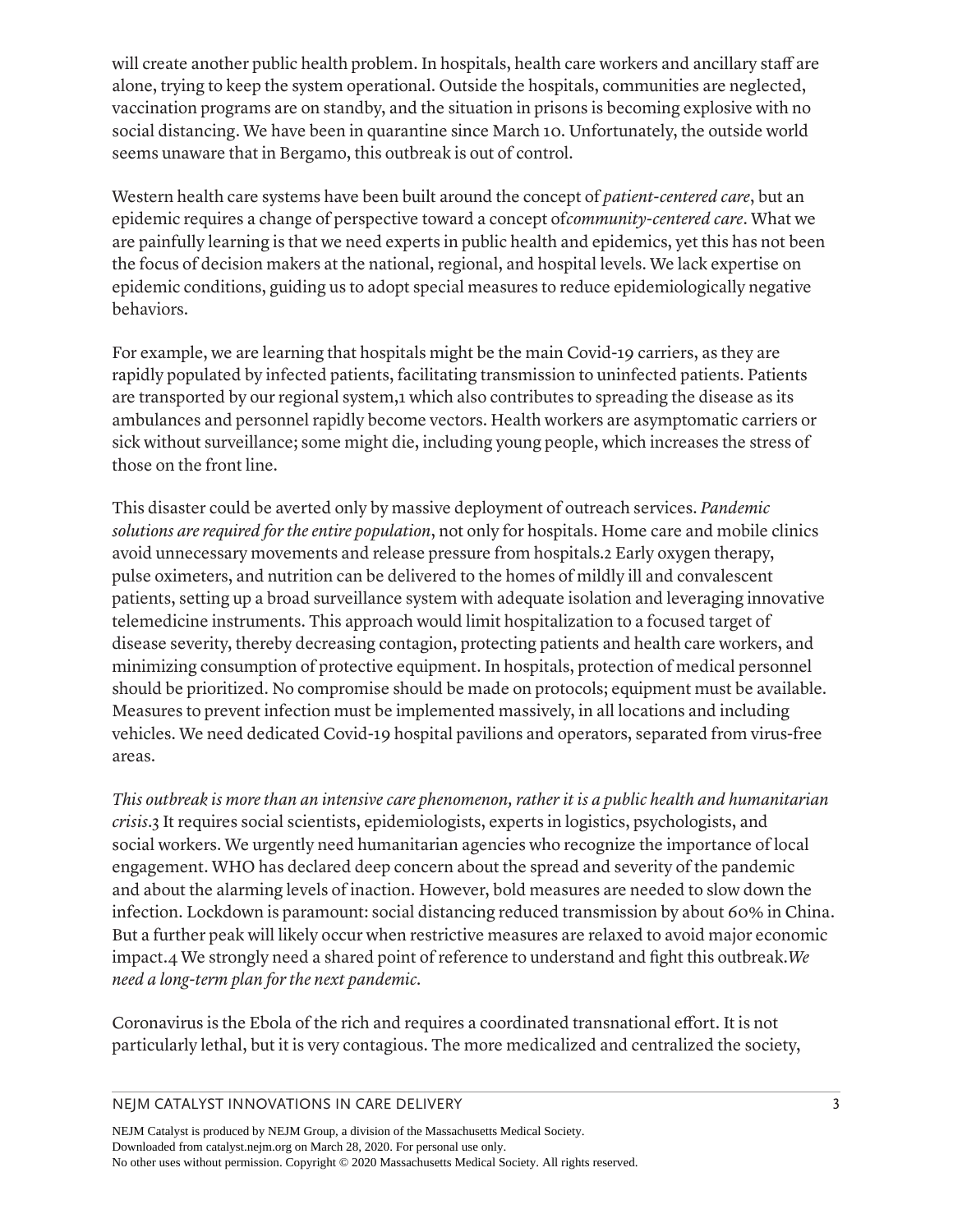will create another public health problem. In hospitals, health care workers and ancillary staff are alone, trying to keep the system operational. Outside the hospitals, communities are neglected, vaccination programs are on standby, and the situation in prisons is becoming explosive with no social distancing. We have been in quarantine since March 10. Unfortunately, the outside world seems unaware that in Bergamo, this outbreak is out of control.

Western health care systems have been built around the concept of *patient-centered care*, but an epidemic requires a change of perspective toward a concept of*community-centered care*. What we are painfully learning is that we need experts in public health and epidemics, yet this has not been the focus of decision makers at the national, regional, and hospital levels. We lack expertise on epidemic conditions, guiding us to adopt special measures to reduce epidemiologically negative behaviors.

For example, we are learning that hospitals might be the main Covid-19 carriers, as they are rapidly populated by infected patients, facilitating transmission to uninfected patients. Patients are transported by our regional system,1 which also contributes to spreading the disease as its ambulances and personnel rapidly become vectors. Health workers are asymptomatic carriers or sick without surveillance; some might die, including young people, which increases the stress of those on the front line.

This disaster could be averted only by massive deployment of outreach services. *Pandemic solutions are required for the entire population*, not only for hospitals. Home care and mobile clinics avoid unnecessary movements and release pressure from hospitals.2 Early oxygen therapy, pulse oximeters, and nutrition can be delivered to the homes of mildly ill and convalescent patients, setting up a broad surveillance system with adequate isolation and leveraging innovative telemedicine instruments. This approach would limit hospitalization to a focused target of disease severity, thereby decreasing contagion, protecting patients and health care workers, and minimizing consumption of protective equipment. In hospitals, protection of medical personnel should be prioritized. No compromise should be made on protocols; equipment must be available. Measures to prevent infection must be implemented massively, in all locations and including vehicles. We need dedicated Covid-19 hospital pavilions and operators, separated from virus-free areas.

*This outbreak is more than an intensive care phenomenon, rather it is a public health and humanitarian crisis*.3 It requires social scientists, epidemiologists, experts in logistics, psychologists, and social workers. We urgently need humanitarian agencies who recognize the importance of local engagement. WHO has declared deep concern about the spread and severity of the pandemic and about the alarming levels of inaction. However, bold measures are needed to slow down the infection. Lockdown is paramount: social distancing reduced transmission by about 60% in China. But a further peak will likely occur when restrictive measures are relaxed to avoid major economic impact.4 We strongly need a shared point of reference to understand and fight this outbreak.*We need a long-term plan for the next pandemic.*

Coronavirus is the Ebola of the rich and requires a coordinated transnational effort. It is not particularly lethal, but it is very contagious. The more medicalized and centralized the society,

NEJM CATALYST INNOVATIONS IN CARE DELIVERY **3** 3

NEJM Catalyst is produced by NEJM Group, a division of the Massachusetts Medical Society. Downloaded from catalyst.nejm.org on March 28, 2020. For personal use only. No other uses without permission. Copyright © 2020 Massachusetts Medical Society. All rights reserved.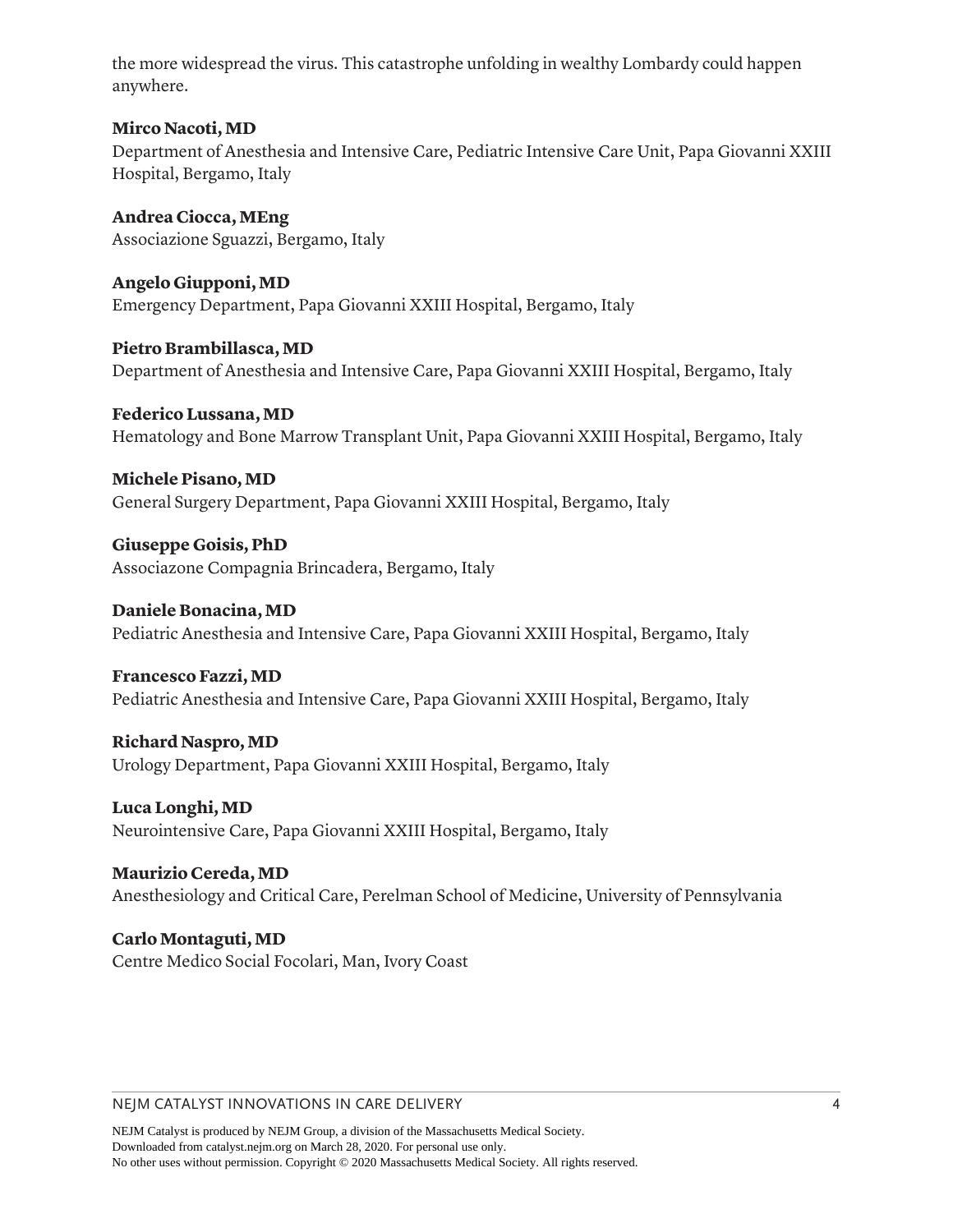the more widespread the virus. This catastrophe unfolding in wealthy Lombardy could happen anywhere.

#### **Mirco Nacoti, MD**

Department of Anesthesia and Intensive Care, Pediatric Intensive Care Unit, Papa Giovanni XXIII Hospital, Bergamo, Italy

**Andrea Ciocca, MEng** Associazione Sguazzi, Bergamo, Italy

**Angelo Giupponi, MD** Emergency Department, Papa Giovanni XXIII Hospital, Bergamo, Italy

**Pietro Brambillasca, MD** Department of Anesthesia and Intensive Care, Papa Giovanni XXIII Hospital, Bergamo, Italy

**Federico Lussana, MD** Hematology and Bone Marrow Transplant Unit, Papa Giovanni XXIII Hospital, Bergamo, Italy

**Michele Pisano, MD** General Surgery Department, Papa Giovanni XXIII Hospital, Bergamo, Italy

**Giuseppe Goisis, PhD** Associazone Compagnia Brincadera, Bergamo, Italy

**Daniele Bonacina, MD** Pediatric Anesthesia and Intensive Care, Papa Giovanni XXIII Hospital, Bergamo, Italy

**Francesco Fazzi, MD** Pediatric Anesthesia and Intensive Care, Papa Giovanni XXIII Hospital, Bergamo, Italy

**Richard Naspro, MD** Urology Department, Papa Giovanni XXIII Hospital, Bergamo, Italy

**Luca Longhi, MD** Neurointensive Care, Papa Giovanni XXIII Hospital, Bergamo, Italy

**Maurizio Cereda, MD** Anesthesiology and Critical Care, Perelman School of Medicine, University of Pennsylvania

**Carlo Montaguti, MD** Centre Medico Social Focolari, Man, Ivory Coast

#### NEJM CATALYST INNOVATIONS IN CARE DELIVERY 4

NEJM Catalyst is produced by NEJM Group, a division of the Massachusetts Medical Society. Downloaded from catalyst.nejm.org on March 28, 2020. For personal use only. No other uses without permission. Copyright © 2020 Massachusetts Medical Society. All rights reserved.